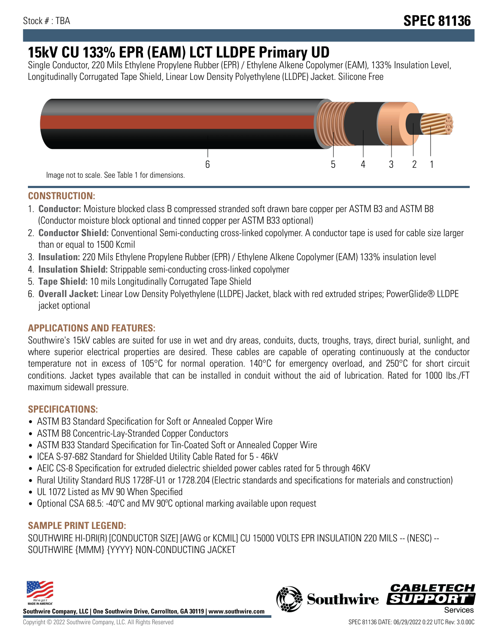# **15kV CU 133% EPR (EAM) LCT LLDPE Primary UD**

Single Conductor, 220 Mils Ethylene Propylene Rubber (EPR) / Ethylene Alkene Copolymer (EAM), 133% Insulation Level, Longitudinally Corrugated Tape Shield, Linear Low Density Polyethylene (LLDPE) Jacket. Silicone Free



## **CONSTRUCTION:**

- 1. **Conductor:** Moisture blocked class B compressed stranded soft drawn bare copper per ASTM B3 and ASTM B8 (Conductor moisture block optional and tinned copper per ASTM B33 optional)
- 2. **Conductor Shield:** Conventional Semi-conducting cross-linked copolymer. A conductor tape is used for cable size larger than or equal to 1500 Kcmil
- 3. **Insulation:** 220 Mils Ethylene Propylene Rubber (EPR) / Ethylene Alkene Copolymer (EAM) 133% insulation level
- 4. **Insulation Shield:** Strippable semi-conducting cross-linked copolymer
- 5. **Tape Shield:** 10 mils Longitudinally Corrugated Tape Shield
- 6. **Overall Jacket:** Linear Low Density Polyethylene (LLDPE) Jacket, black with red extruded stripes; PowerGlide® LLDPE jacket optional

## **APPLICATIONS AND FEATURES:**

Southwire's 15kV cables are suited for use in wet and dry areas, conduits, ducts, troughs, trays, direct burial, sunlight, and where superior electrical properties are desired. These cables are capable of operating continuously at the conductor temperature not in excess of 105°C for normal operation. 140°C for emergency overload, and 250°C for short circuit conditions. Jacket types available that can be installed in conduit without the aid of lubrication. Rated for 1000 lbs./FT maximum sidewall pressure.

## **SPECIFICATIONS:**

- ASTM B3 Standard Specification for Soft or Annealed Copper Wire
- ASTM B8 Concentric-Lay-Stranded Copper Conductors
- ASTM B33 Standard Specification for Tin-Coated Soft or Annealed Copper Wire
- ICEA S-97-682 Standard for Shielded Utility Cable Rated for 5 46kV
- AEIC CS-8 Specification for extruded dielectric shielded power cables rated for 5 through 46KV
- Rural Utility Standard RUS 1728F-U1 or 1728.204 (Electric standards and specifications for materials and construction)
- UL 1072 Listed as MV 90 When Specified
- Optional CSA 68.5: -40ºC and MV 90ºC optional marking available upon request

## **SAMPLE PRINT LEGEND:**

SOUTHWIRE HI-DRI(R) [CONDUCTOR SIZE] [AWG or KCMIL] CU 15000 VOLTS EPR INSULATION 220 MILS -- (NESC) -- SOUTHWIRE {MMM} {YYYY} NON-CONDUCTING JACKET



**Southwire Company, LLC | One Southwire Drive, Carrollton, GA 30119 | www.southwire.com**